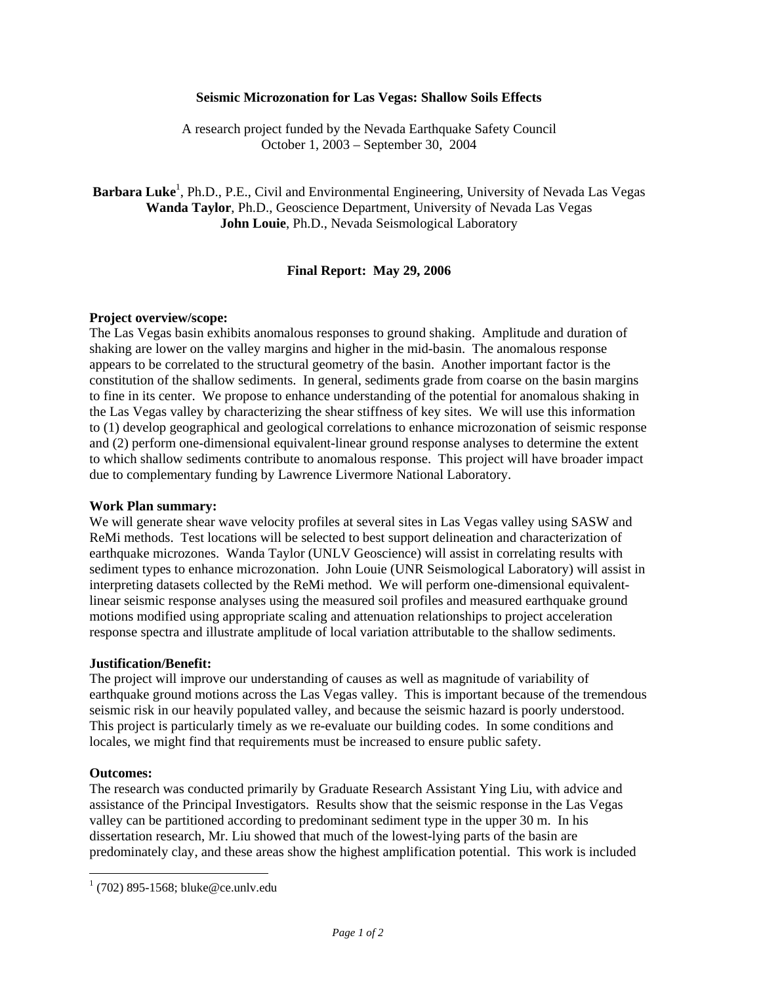## **Seismic Microzonation for Las Vegas: Shallow Soils Effects**

A research project funded by the Nevada Earthquake Safety Council October 1, 2003 – September 30, 2004

Barbara Luke<sup>1</sup>, Ph.D., P.E., Civil and Environmental Engineering, University of Nevada Las Vegas **Wanda Taylor**, Ph.D., Geoscience Department, University of Nevada Las Vegas **John Louie**, Ph.D., Nevada Seismological Laboratory

# **Final Report: May 29, 2006**

# **Project overview/scope:**

The Las Vegas basin exhibits anomalous responses to ground shaking. Amplitude and duration of shaking are lower on the valley margins and higher in the mid-basin. The anomalous response appears to be correlated to the structural geometry of the basin. Another important factor is the constitution of the shallow sediments. In general, sediments grade from coarse on the basin margins to fine in its center. We propose to enhance understanding of the potential for anomalous shaking in the Las Vegas valley by characterizing the shear stiffness of key sites. We will use this information to (1) develop geographical and geological correlations to enhance microzonation of seismic response and (2) perform one-dimensional equivalent-linear ground response analyses to determine the extent to which shallow sediments contribute to anomalous response. This project will have broader impact due to complementary funding by Lawrence Livermore National Laboratory.

### **Work Plan summary:**

We will generate shear wave velocity profiles at several sites in Las Vegas valley using SASW and ReMi methods. Test locations will be selected to best support delineation and characterization of earthquake microzones. Wanda Taylor (UNLV Geoscience) will assist in correlating results with sediment types to enhance microzonation. John Louie (UNR Seismological Laboratory) will assist in interpreting datasets collected by the ReMi method. We will perform one-dimensional equivalentlinear seismic response analyses using the measured soil profiles and measured earthquake ground motions modified using appropriate scaling and attenuation relationships to project acceleration response spectra and illustrate amplitude of local variation attributable to the shallow sediments.

### **Justification/Benefit:**

The project will improve our understanding of causes as well as magnitude of variability of earthquake ground motions across the Las Vegas valley. This is important because of the tremendous seismic risk in our heavily populated valley, and because the seismic hazard is poorly understood. This project is particularly timely as we re-evaluate our building codes. In some conditions and locales, we might find that requirements must be increased to ensure public safety.

### **Outcomes:**

 $\overline{a}$ 

The research was conducted primarily by Graduate Research Assistant Ying Liu, with advice and assistance of the Principal Investigators. Results show that the seismic response in the Las Vegas valley can be partitioned according to predominant sediment type in the upper 30 m. In his dissertation research, Mr. Liu showed that much of the lowest-lying parts of the basin are predominately clay, and these areas show the highest amplification potential. This work is included

 $1(702)$  895-1568; bluke@ce.unlv.edu